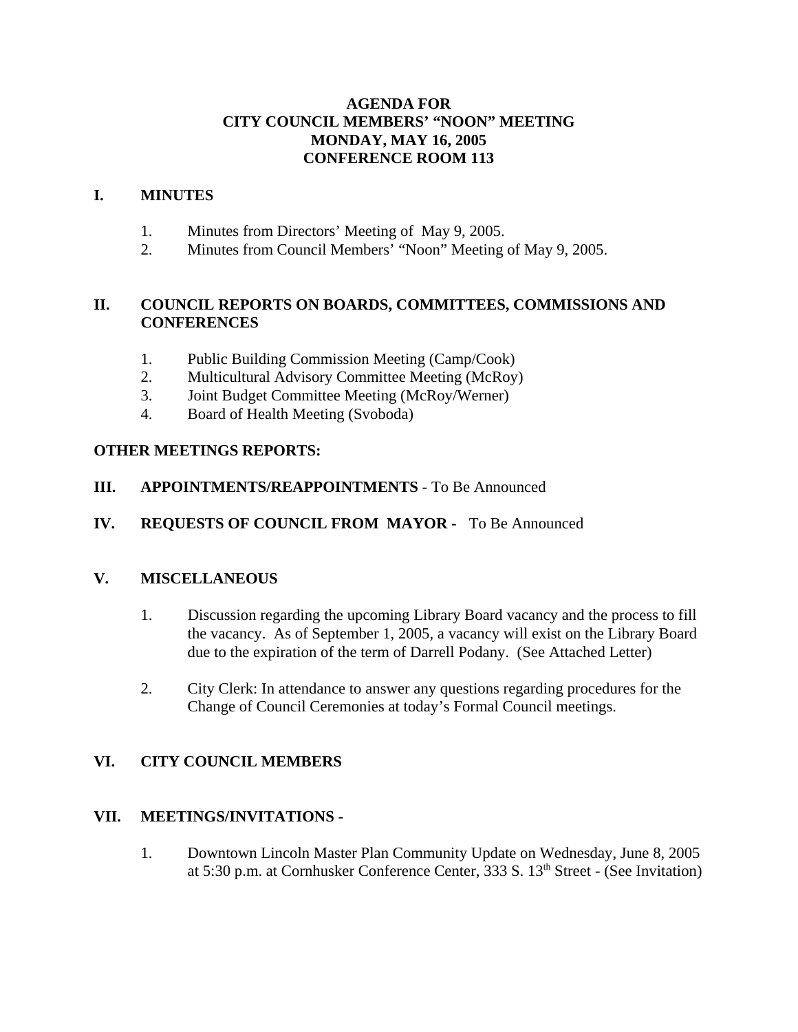# **AGENDA FOR CITY COUNCIL MEMBERS' "NOON" MEETING MONDAY, MAY 16, 2005 CONFERENCE ROOM 113**

## **I. MINUTES**

- 1. Minutes from Directors' Meeting of May 9, 2005.
- 2. Minutes from Council Members' "Noon" Meeting of May 9, 2005.

# **II. COUNCIL REPORTS ON BOARDS, COMMITTEES, COMMISSIONS AND CONFERENCES**

- 1. Public Building Commission Meeting (Camp/Cook)
- 2. Multicultural Advisory Committee Meeting (McRoy)
- 3. Joint Budget Committee Meeting (McRoy/Werner)
- 4. Board of Health Meeting (Svoboda)

## **OTHER MEETINGS REPORTS:**

- **III. APPOINTMENTS/REAPPOINTMENTS**  To Be Announced
- **IV. REQUESTS OF COUNCIL FROM MAYOR** To Be Announced

### **V. MISCELLANEOUS**

- 1. Discussion regarding the upcoming Library Board vacancy and the process to fill the vacancy. As of September 1, 2005, a vacancy will exist on the Library Board due to the expiration of the term of Darrell Podany. (See Attached Letter)
- 2. City Clerk: In attendance to answer any questions regarding procedures for the Change of Council Ceremonies at today's Formal Council meetings.

# **VI. CITY COUNCIL MEMBERS**

## **VII. MEETINGS/INVITATIONS -**

1. Downtown Lincoln Master Plan Community Update on Wednesday, June 8, 2005 at 5:30 p.m. at Cornhusker Conference Center, 333 S. 13<sup>th</sup> Street - (See Invitation)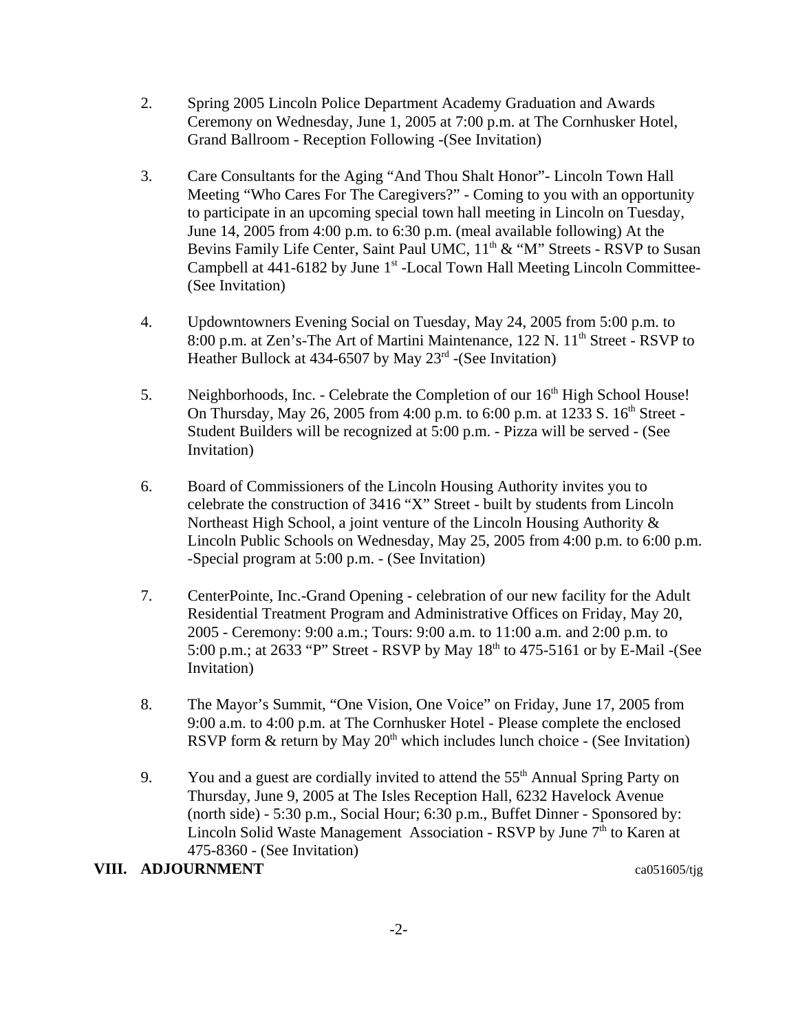- 2. Spring 2005 Lincoln Police Department Academy Graduation and Awards Ceremony on Wednesday, June 1, 2005 at 7:00 p.m. at The Cornhusker Hotel, Grand Ballroom - Reception Following -(See Invitation)
- 3. Care Consultants for the Aging "And Thou Shalt Honor"- Lincoln Town Hall Meeting "Who Cares For The Caregivers?" - Coming to you with an opportunity to participate in an upcoming special town hall meeting in Lincoln on Tuesday, June 14, 2005 from 4:00 p.m. to 6:30 p.m. (meal available following) At the Bevins Family Life Center, Saint Paul UMC,  $11<sup>th</sup>$  & "M" Streets - RSVP to Susan Campbell at  $441-6182$  by June  $1<sup>st</sup>$ -Local Town Hall Meeting Lincoln Committee-(See Invitation)
- 4. Updowntowners Evening Social on Tuesday, May 24, 2005 from 5:00 p.m. to 8:00 p.m. at Zen's-The Art of Martini Maintenance, 122 N. 11<sup>th</sup> Street - RSVP to Heather Bullock at 434-6507 by May  $23<sup>rd</sup>$  -(See Invitation)
- 5. Neighborhoods, Inc. Celebrate the Completion of our  $16<sup>th</sup>$  High School House! On Thursday, May 26, 2005 from 4:00 p.m. to 6:00 p.m. at 1233 S.  $16^{th}$  Street -Student Builders will be recognized at 5:00 p.m. - Pizza will be served - (See Invitation)
- 6. Board of Commissioners of the Lincoln Housing Authority invites you to celebrate the construction of 3416 "X" Street - built by students from Lincoln Northeast High School, a joint venture of the Lincoln Housing Authority & Lincoln Public Schools on Wednesday, May 25, 2005 from 4:00 p.m. to 6:00 p.m. -Special program at 5:00 p.m. - (See Invitation)
- 7. CenterPointe, Inc.-Grand Opening celebration of our new facility for the Adult Residential Treatment Program and Administrative Offices on Friday, May 20, 2005 - Ceremony: 9:00 a.m.; Tours: 9:00 a.m. to 11:00 a.m. and 2:00 p.m. to 5:00 p.m.; at 2633 "P" Street - RSVP by May  $18<sup>th</sup>$  to 475-5161 or by E-Mail -(See Invitation)
- 8. The Mayor's Summit, "One Vision, One Voice" on Friday, June 17, 2005 from 9:00 a.m. to 4:00 p.m. at The Cornhusker Hotel - Please complete the enclosed RSVP form & return by May  $20<sup>th</sup>$  which includes lunch choice - (See Invitation)
- 9. You and a guest are cordially invited to attend the 55<sup>th</sup> Annual Spring Party on Thursday, June 9, 2005 at The Isles Reception Hall, 6232 Havelock Avenue (north side) - 5:30 p.m., Social Hour; 6:30 p.m., Buffet Dinner - Sponsored by: Lincoln Solid Waste Management Association - RSVP by June  $7<sup>th</sup>$  to Karen at 475-8360 - (See Invitation)

### **VIII. ADJOURNMENT** ca051605/tig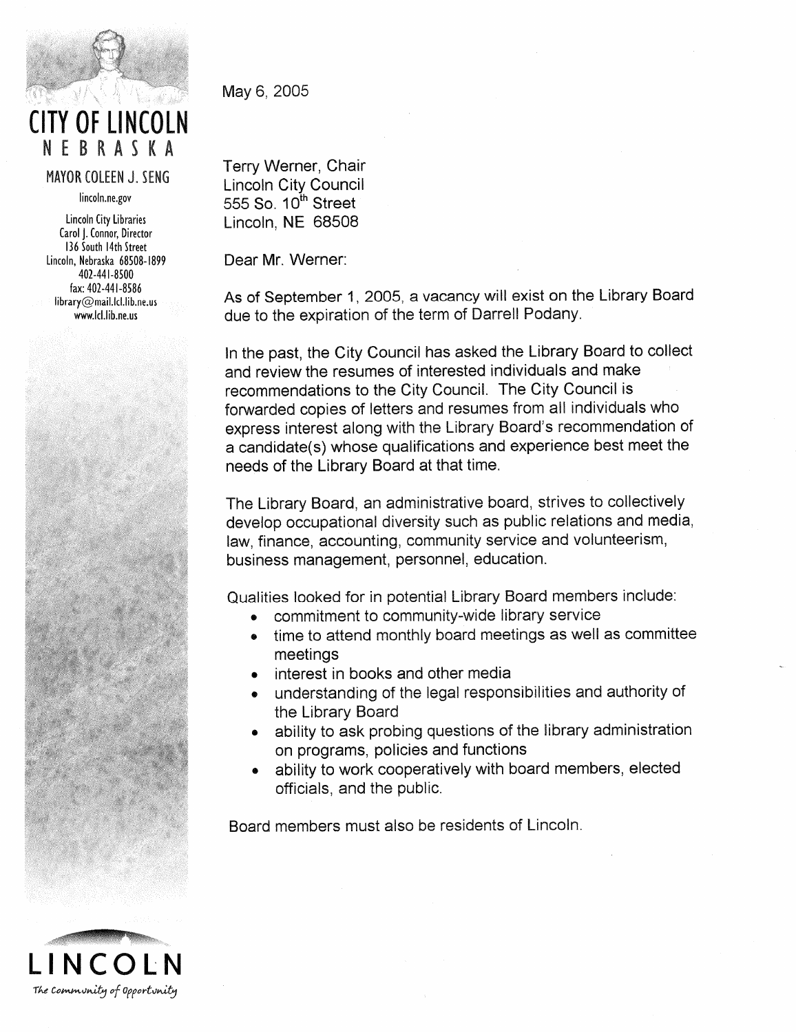

**CITY OF LINCOLN** NEBRASKA

MAYOR COLEEN J. SENG

lincoln.ne.gov

Lincoln City Libraries Carol J. Connor, Director 136 South 14th Street Lincoln, Nebraska 68508-1899 402-441-8500 fax: 402-441-8586 library@mail.lcl.lib.ne.us www.lcl.lib.ne.us

May 6, 2005

Terry Werner, Chair **Lincoln City Council** 555 So. 10th Street Lincoln, NE 68508

Dear Mr. Werner:

As of September 1, 2005, a vacancy will exist on the Library Board due to the expiration of the term of Darrell Podany.

In the past, the City Council has asked the Library Board to collect and review the resumes of interested individuals and make recommendations to the City Council. The City Council is forwarded copies of letters and resumes from all individuals who express interest along with the Library Board's recommendation of a candidate(s) whose qualifications and experience best meet the needs of the Library Board at that time.

The Library Board, an administrative board, strives to collectively develop occupational diversity such as public relations and media, law, finance, accounting, community service and volunteerism, business management, personnel, education.

Qualities looked for in potential Library Board members include:

- commitment to community-wide library service
- time to attend monthly board meetings as well as committee meetings
- interest in books and other media
- understanding of the legal responsibilities and authority of the Library Board
- ability to ask probing questions of the library administration on programs, policies and functions
- ability to work cooperatively with board members, elected officials, and the public.

Board members must also be residents of Lincoln.

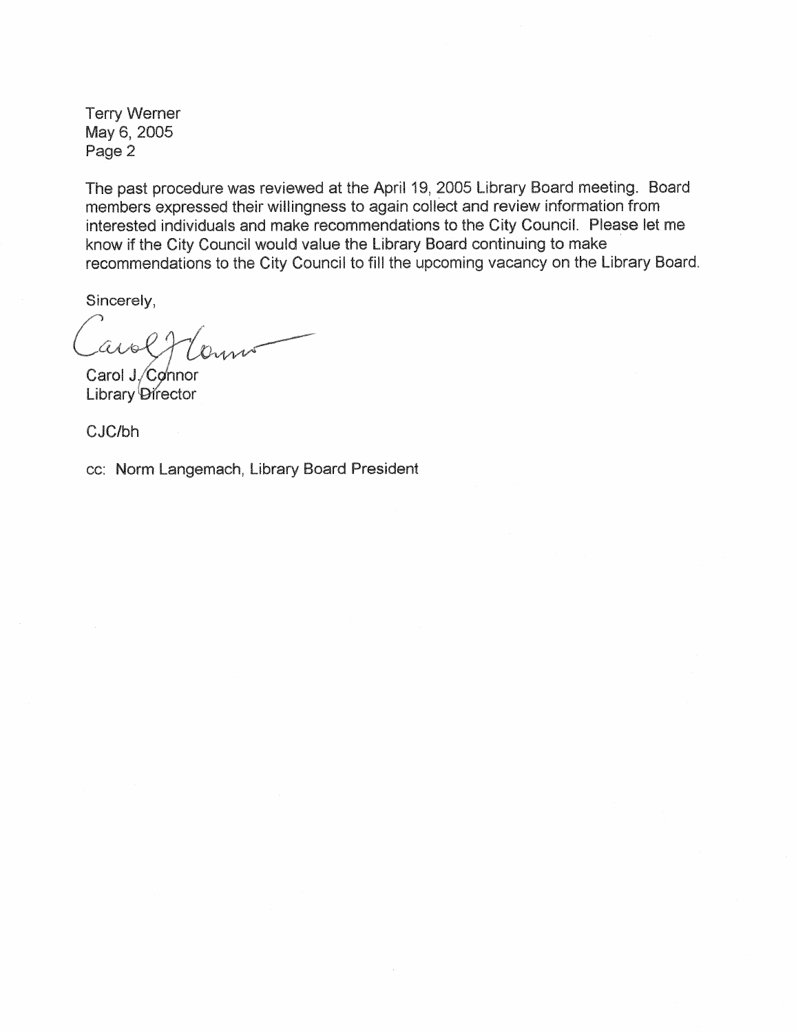**Terry Werner** May 6, 2005 Page 2

The past procedure was reviewed at the April 19, 2005 Library Board meeting. Board members expressed their willingness to again collect and review information from interested individuals and make recommendations to the City Council. Please let me know if the City Council would value the Library Board continuing to make recommendations to the City Council to fill the upcoming vacancy on the Library Board.

Sincerely,

avolt Comme

Carol J. Connor Library Director

CJC/bh

cc: Norm Langemach, Library Board President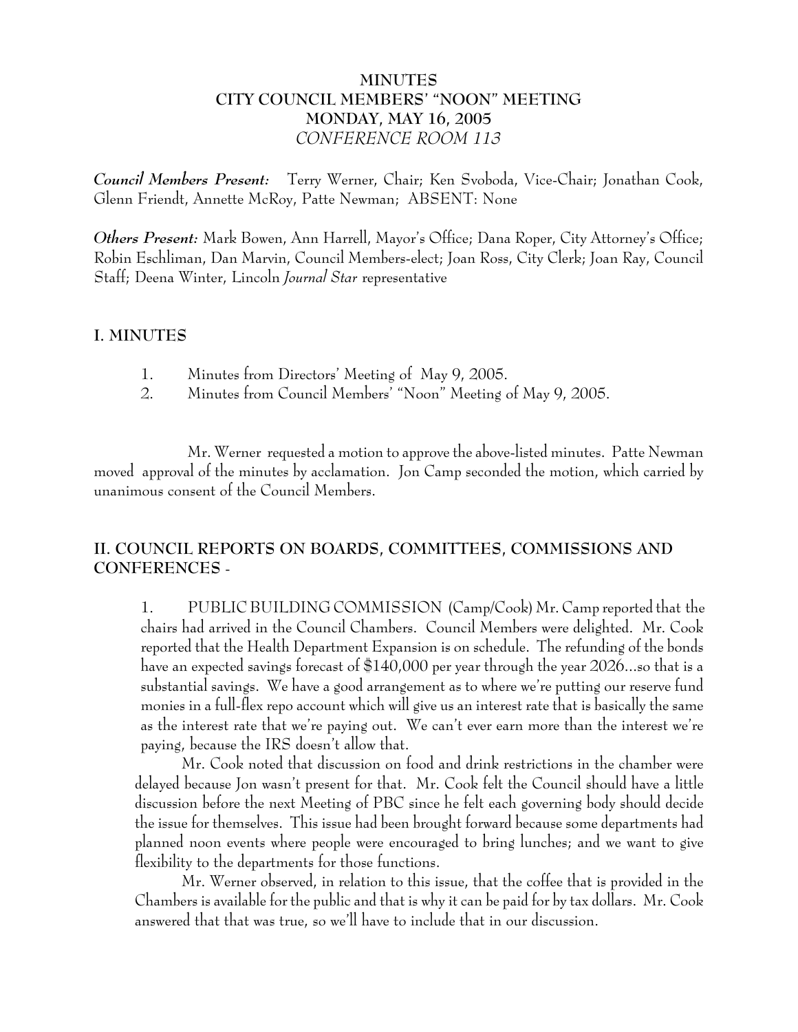# **MINUTES CITY COUNCIL MEMBERS' "NOON" MEETING MONDAY, MAY 16, 2005** *CONFERENCE ROOM 113*

*Council Members Present:* Terry Werner, Chair; Ken Svoboda, Vice-Chair; Jonathan Cook, Glenn Friendt, Annette McRoy, Patte Newman; ABSENT: None

*Others Present:* Mark Bowen, Ann Harrell, Mayor's Office; Dana Roper, City Attorney's Office; Robin Eschliman, Dan Marvin, Council Members-elect; Joan Ross, City Clerk; Joan Ray, Council Staff; Deena Winter, Lincoln *Journal Star* representative

### **I. MINUTES**

- 1. Minutes from Directors' Meeting of May 9, 2005.
- 2. Minutes from Council Members' "Noon" Meeting of May 9, 2005.

Mr. Werner requested a motion to approve the above-listed minutes. Patte Newman moved approval of the minutes by acclamation. Jon Camp seconded the motion, which carried by unanimous consent of the Council Members.

# **II. COUNCIL REPORTS ON BOARDS, COMMITTEES, COMMISSIONS AND CONFERENCES** -

1. PUBLIC BUILDING COMMISSION (Camp/Cook) Mr. Camp reported that the chairs had arrived in the Council Chambers. Council Members were delighted. Mr. Cook reported that the Health Department Expansion is on schedule. The refunding of the bonds have an expected savings forecast of \$140,000 per year through the year 2026...so that is a substantial savings. We have a good arrangement as to where we're putting our reserve fund monies in a full-flex repo account which will give us an interest rate that is basically the same as the interest rate that we're paying out. We can't ever earn more than the interest we're paying, because the IRS doesn't allow that.

Mr. Cook noted that discussion on food and drink restrictions in the chamber were delayed because Jon wasn't present for that. Mr. Cook felt the Council should have a little discussion before the next Meeting of PBC since he felt each governing body should decide the issue for themselves. This issue had been brought forward because some departments had planned noon events where people were encouraged to bring lunches; and we want to give flexibility to the departments for those functions.

Mr. Werner observed, in relation to this issue, that the coffee that is provided in the Chambers is available for the public and that is why it can be paid for by tax dollars. Mr. Cook answered that that was true, so we'll have to include that in our discussion.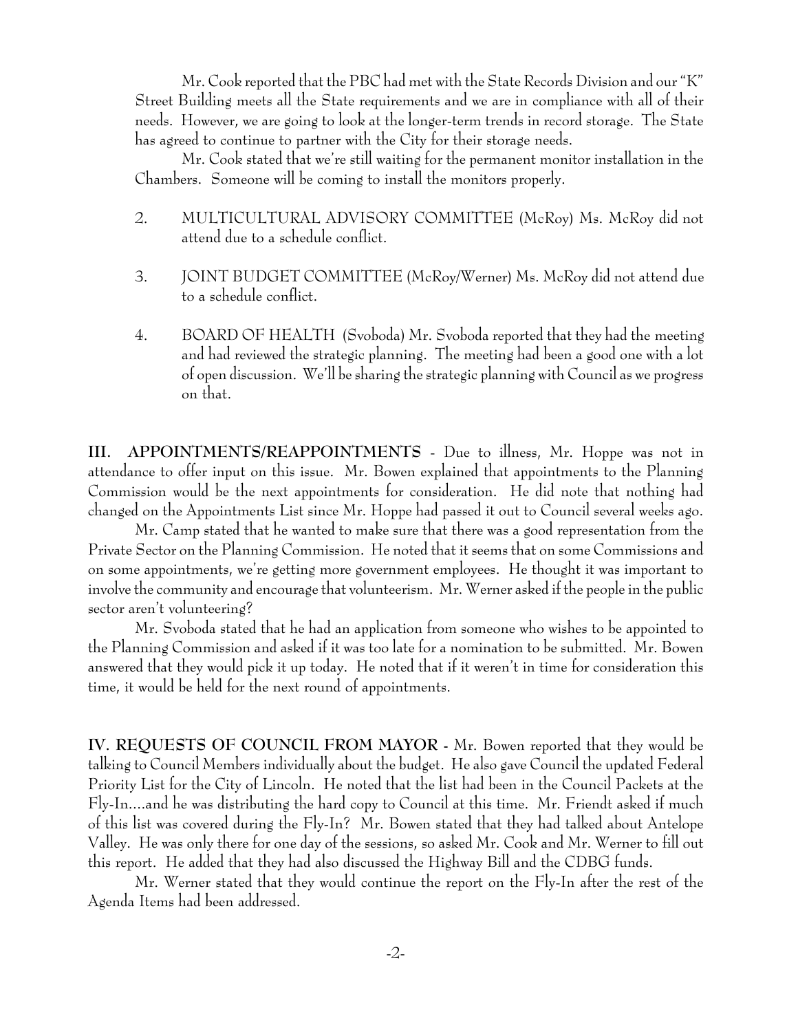Mr. Cook reported that the PBC had met with the State Records Division and our "K" Street Building meets all the State requirements and we are in compliance with all of their needs. However, we are going to look at the longer-term trends in record storage. The State has agreed to continue to partner with the City for their storage needs.

Mr. Cook stated that we're still waiting for the permanent monitor installation in the Chambers. Someone will be coming to install the monitors properly.

- 2. MULTICULTURAL ADVISORY COMMITTEE (McRoy) Ms. McRoy did not attend due to a schedule conflict.
- 3. JOINT BUDGET COMMITTEE (McRoy/Werner) Ms. McRoy did not attend due to a schedule conflict.
- 4. BOARD OF HEALTH (Svoboda) Mr. Svoboda reported that they had the meeting and had reviewed the strategic planning. The meeting had been a good one with a lot of open discussion. We'll be sharing the strategic planning with Council as we progress on that.

**III. APPOINTMENTS/REAPPOINTMENTS** - Due to illness, Mr. Hoppe was not in attendance to offer input on this issue. Mr. Bowen explained that appointments to the Planning Commission would be the next appointments for consideration. He did note that nothing had changed on the Appointments List since Mr. Hoppe had passed it out to Council several weeks ago.

Mr. Camp stated that he wanted to make sure that there was a good representation from the Private Sector on the Planning Commission. He noted that it seems that on some Commissions and on some appointments, we're getting more government employees. He thought it was important to involve the community and encourage that volunteerism. Mr. Werner asked if the people in the public sector aren't volunteering?

Mr. Svoboda stated that he had an application from someone who wishes to be appointed to the Planning Commission and asked if it was too late for a nomination to be submitted. Mr. Bowen answered that they would pick it up today. He noted that if it weren't in time for consideration this time, it would be held for the next round of appointments.

**IV. REQUESTS OF COUNCIL FROM MAYOR -** Mr. Bowen reported that they would be talking to Council Members individually about the budget. He also gave Council the updated Federal Priority List for the City of Lincoln. He noted that the list had been in the Council Packets at the Fly-In....and he was distributing the hard copy to Council at this time. Mr. Friendt asked if much of this list was covered during the Fly-In? Mr. Bowen stated that they had talked about Antelope Valley. He was only there for one day of the sessions, so asked Mr. Cook and Mr. Werner to fill out this report. He added that they had also discussed the Highway Bill and the CDBG funds.

Mr. Werner stated that they would continue the report on the Fly-In after the rest of the Agenda Items had been addressed.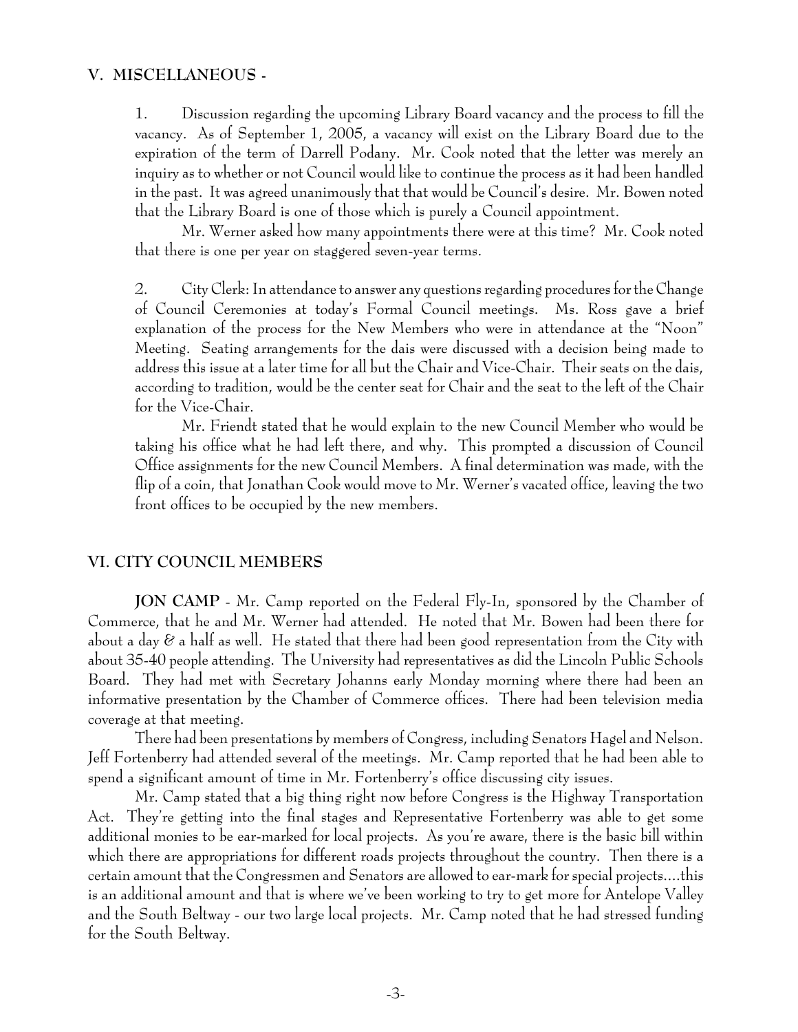#### **V. MISCELLANEOUS -**

1. Discussion regarding the upcoming Library Board vacancy and the process to fill the vacancy. As of September 1, 2005, a vacancy will exist on the Library Board due to the expiration of the term of Darrell Podany. Mr. Cook noted that the letter was merely an inquiry as to whether or not Council would like to continue the process as it had been handled in the past. It was agreed unanimously that that would be Council's desire. Mr. Bowen noted that the Library Board is one of those which is purely a Council appointment.

Mr. Werner asked how many appointments there were at this time? Mr. Cook noted that there is one per year on staggered seven-year terms.

2. City Clerk: In attendance to answer any questions regarding procedures for the Change of Council Ceremonies at today's Formal Council meetings. Ms. Ross gave a brief explanation of the process for the New Members who were in attendance at the "Noon" Meeting. Seating arrangements for the dais were discussed with a decision being made to address this issue at a later time for all but the Chair and Vice-Chair. Their seats on the dais, according to tradition, would be the center seat for Chair and the seat to the left of the Chair for the Vice-Chair.

Mr. Friendt stated that he would explain to the new Council Member who would be taking his office what he had left there, and why. This prompted a discussion of Council Office assignments for the new Council Members. A final determination was made, with the flip of a coin, that Jonathan Cook would move to Mr. Werner's vacated office, leaving the two front offices to be occupied by the new members.

#### **VI. CITY COUNCIL MEMBERS**

**JON CAMP** - Mr. Camp reported on the Federal Fly-In, sponsored by the Chamber of Commerce, that he and Mr. Werner had attended. He noted that Mr. Bowen had been there for about a day & a half as well. He stated that there had been good representation from the City with about 35-40 people attending. The University had representatives as did the Lincoln Public Schools Board. They had met with Secretary Johanns early Monday morning where there had been an informative presentation by the Chamber of Commerce offices. There had been television media coverage at that meeting.

There had been presentations by members of Congress, including Senators Hagel and Nelson. Jeff Fortenberry had attended several of the meetings. Mr. Camp reported that he had been able to spend a significant amount of time in Mr. Fortenberry's office discussing city issues.

Mr. Camp stated that a big thing right now before Congress is the Highway Transportation Act. They're getting into the final stages and Representative Fortenberry was able to get some additional monies to be ear-marked for local projects. As you're aware, there is the basic bill within which there are appropriations for different roads projects throughout the country. Then there is a certain amount that the Congressmen and Senators are allowed to ear-mark for special projects....this is an additional amount and that is where we've been working to try to get more for Antelope Valley and the South Beltway - our two large local projects. Mr. Camp noted that he had stressed funding for the South Beltway.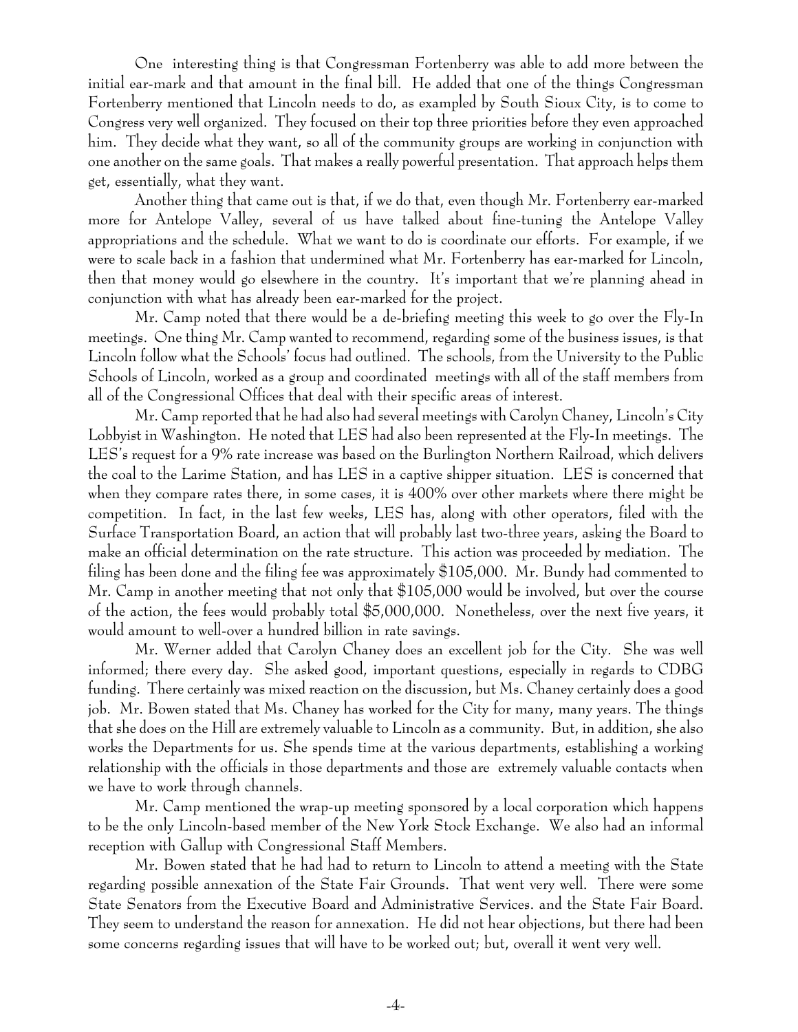One interesting thing is that Congressman Fortenberry was able to add more between the initial ear-mark and that amount in the final bill. He added that one of the things Congressman Fortenberry mentioned that Lincoln needs to do, as exampled by South Sioux City, is to come to Congress very well organized. They focused on their top three priorities before they even approached him. They decide what they want, so all of the community groups are working in conjunction with one another on the same goals. That makes a really powerful presentation. That approach helps them get, essentially, what they want.

Another thing that came out is that, if we do that, even though Mr. Fortenberry ear-marked more for Antelope Valley, several of us have talked about fine-tuning the Antelope Valley appropriations and the schedule. What we want to do is coordinate our efforts. For example, if we were to scale back in a fashion that undermined what Mr. Fortenberry has ear-marked for Lincoln, then that money would go elsewhere in the country. It's important that we're planning ahead in conjunction with what has already been ear-marked for the project.

Mr. Camp noted that there would be a de-briefing meeting this week to go over the Fly-In meetings. One thing Mr. Camp wanted to recommend, regarding some of the business issues, is that Lincoln follow what the Schools' focus had outlined. The schools, from the University to the Public Schools of Lincoln, worked as a group and coordinated meetings with all of the staff members from all of the Congressional Offices that deal with their specific areas of interest.

Mr. Camp reported that he had also had several meetings with Carolyn Chaney, Lincoln's City Lobbyist in Washington. He noted that LES had also been represented at the Fly-In meetings. The LES's request for a 9% rate increase was based on the Burlington Northern Railroad, which delivers the coal to the Larime Station, and has LES in a captive shipper situation. LES is concerned that when they compare rates there, in some cases, it is 400% over other markets where there might be competition. In fact, in the last few weeks, LES has, along with other operators, filed with the Surface Transportation Board, an action that will probably last two-three years, asking the Board to make an official determination on the rate structure. This action was proceeded by mediation. The filing has been done and the filing fee was approximately \$105,000. Mr. Bundy had commented to Mr. Camp in another meeting that not only that \$105,000 would be involved, but over the course of the action, the fees would probably total \$5,000,000. Nonetheless, over the next five years, it would amount to well-over a hundred billion in rate savings.

Mr. Werner added that Carolyn Chaney does an excellent job for the City. She was well informed; there every day. She asked good, important questions, especially in regards to CDBG funding. There certainly was mixed reaction on the discussion, but Ms. Chaney certainly does a good job. Mr. Bowen stated that Ms. Chaney has worked for the City for many, many years. The things that she does on the Hill are extremely valuable to Lincoln as a community. But, in addition, she also works the Departments for us. She spends time at the various departments, establishing a working relationship with the officials in those departments and those are extremely valuable contacts when we have to work through channels.

Mr. Camp mentioned the wrap-up meeting sponsored by a local corporation which happens to be the only Lincoln-based member of the New York Stock Exchange. We also had an informal reception with Gallup with Congressional Staff Members.

Mr. Bowen stated that he had had to return to Lincoln to attend a meeting with the State regarding possible annexation of the State Fair Grounds. That went very well. There were some State Senators from the Executive Board and Administrative Services. and the State Fair Board. They seem to understand the reason for annexation. He did not hear objections, but there had been some concerns regarding issues that will have to be worked out; but, overall it went very well.